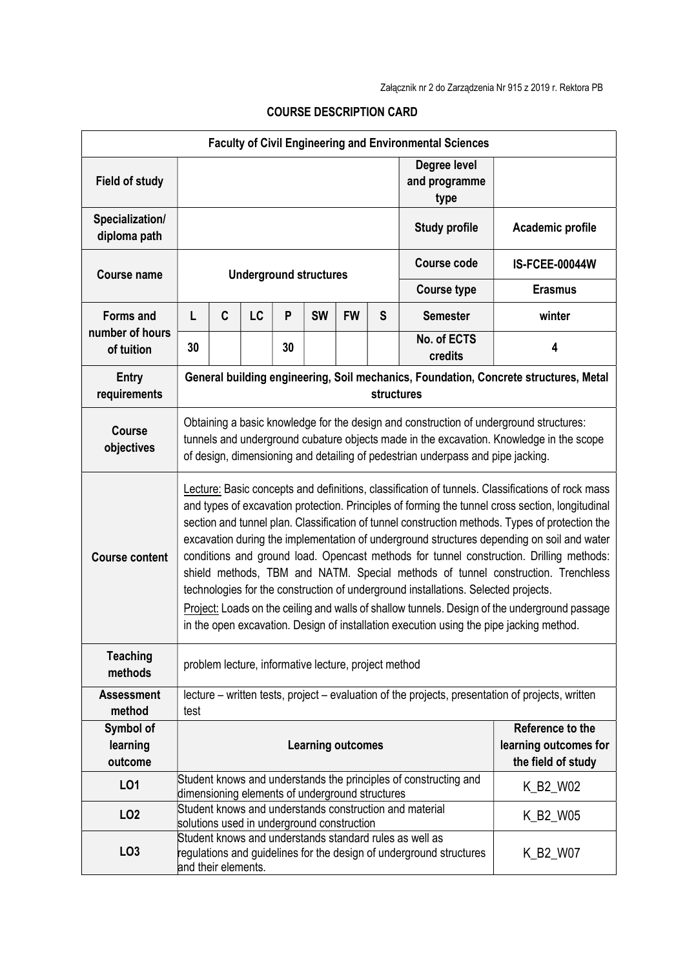| <b>Faculty of Civil Engineering and Environmental Sciences</b> |                                                                                                                                                                                                                                                                                                                                                                                                                                                                                                                                                                                                                                                                                                                                                                                                                                                                        |   |                                                 |    |           |           |                                                                 |                                                                                                                                |                  |  |
|----------------------------------------------------------------|------------------------------------------------------------------------------------------------------------------------------------------------------------------------------------------------------------------------------------------------------------------------------------------------------------------------------------------------------------------------------------------------------------------------------------------------------------------------------------------------------------------------------------------------------------------------------------------------------------------------------------------------------------------------------------------------------------------------------------------------------------------------------------------------------------------------------------------------------------------------|---|-------------------------------------------------|----|-----------|-----------|-----------------------------------------------------------------|--------------------------------------------------------------------------------------------------------------------------------|------------------|--|
| <b>Field of study</b>                                          |                                                                                                                                                                                                                                                                                                                                                                                                                                                                                                                                                                                                                                                                                                                                                                                                                                                                        |   |                                                 |    |           |           | Degree level<br>and programme<br>type                           |                                                                                                                                |                  |  |
| Specialization/<br>diploma path                                |                                                                                                                                                                                                                                                                                                                                                                                                                                                                                                                                                                                                                                                                                                                                                                                                                                                                        |   |                                                 |    |           |           |                                                                 | <b>Study profile</b>                                                                                                           | Academic profile |  |
| <b>Course name</b>                                             | <b>Underground structures</b>                                                                                                                                                                                                                                                                                                                                                                                                                                                                                                                                                                                                                                                                                                                                                                                                                                          |   |                                                 |    |           |           | Course code                                                     | <b>IS-FCEE-00044W</b>                                                                                                          |                  |  |
|                                                                |                                                                                                                                                                                                                                                                                                                                                                                                                                                                                                                                                                                                                                                                                                                                                                                                                                                                        |   |                                                 |    |           |           |                                                                 | <b>Course type</b>                                                                                                             | <b>Erasmus</b>   |  |
| <b>Forms and</b>                                               | L                                                                                                                                                                                                                                                                                                                                                                                                                                                                                                                                                                                                                                                                                                                                                                                                                                                                      | C | LC                                              | P  | <b>SW</b> | <b>FW</b> | S                                                               | <b>Semester</b>                                                                                                                | winter           |  |
| number of hours<br>of tuition                                  | 30                                                                                                                                                                                                                                                                                                                                                                                                                                                                                                                                                                                                                                                                                                                                                                                                                                                                     |   |                                                 | 30 |           |           |                                                                 | No. of ECTS<br>credits                                                                                                         | 4                |  |
| <b>Entry</b><br>requirements                                   | General building engineering, Soil mechanics, Foundation, Concrete structures, Metal<br>structures                                                                                                                                                                                                                                                                                                                                                                                                                                                                                                                                                                                                                                                                                                                                                                     |   |                                                 |    |           |           |                                                                 |                                                                                                                                |                  |  |
| <b>Course</b><br>objectives                                    | Obtaining a basic knowledge for the design and construction of underground structures:<br>tunnels and underground cubature objects made in the excavation. Knowledge in the scope<br>of design, dimensioning and detailing of pedestrian underpass and pipe jacking.                                                                                                                                                                                                                                                                                                                                                                                                                                                                                                                                                                                                   |   |                                                 |    |           |           |                                                                 |                                                                                                                                |                  |  |
| <b>Course content</b>                                          | Lecture: Basic concepts and definitions, classification of tunnels. Classifications of rock mass<br>and types of excavation protection. Principles of forming the tunnel cross section, longitudinal<br>section and tunnel plan. Classification of tunnel construction methods. Types of protection the<br>excavation during the implementation of underground structures depending on soil and water<br>conditions and ground load. Opencast methods for tunnel construction. Drilling methods:<br>shield methods, TBM and NATM. Special methods of tunnel construction. Trenchless<br>technologies for the construction of underground installations. Selected projects.<br>Project: Loads on the ceiling and walls of shallow tunnels. Design of the underground passage<br>in the open excavation. Design of installation execution using the pipe jacking method. |   |                                                 |    |           |           |                                                                 |                                                                                                                                |                  |  |
| <b>Teaching</b><br>methods                                     | problem lecture, informative lecture, project method                                                                                                                                                                                                                                                                                                                                                                                                                                                                                                                                                                                                                                                                                                                                                                                                                   |   |                                                 |    |           |           |                                                                 |                                                                                                                                |                  |  |
| <b>Assessment</b><br>method                                    | lecture – written tests, project – evaluation of the projects, presentation of projects, written<br>test                                                                                                                                                                                                                                                                                                                                                                                                                                                                                                                                                                                                                                                                                                                                                               |   |                                                 |    |           |           |                                                                 |                                                                                                                                |                  |  |
| Symbol of<br>learning<br>outcome                               | <b>Learning outcomes</b>                                                                                                                                                                                                                                                                                                                                                                                                                                                                                                                                                                                                                                                                                                                                                                                                                                               |   |                                                 |    |           |           | Reference to the<br>learning outcomes for<br>the field of study |                                                                                                                                |                  |  |
| LO1                                                            |                                                                                                                                                                                                                                                                                                                                                                                                                                                                                                                                                                                                                                                                                                                                                                                                                                                                        |   | dimensioning elements of underground structures |    |           |           |                                                                 | Student knows and understands the principles of constructing and                                                               | K_B2_W02         |  |
| LO <sub>2</sub>                                                |                                                                                                                                                                                                                                                                                                                                                                                                                                                                                                                                                                                                                                                                                                                                                                                                                                                                        |   | solutions used in underground construction      |    |           |           |                                                                 | Student knows and understands construction and material                                                                        | K_B2_W05         |  |
| LO <sub>3</sub>                                                | and their elements.                                                                                                                                                                                                                                                                                                                                                                                                                                                                                                                                                                                                                                                                                                                                                                                                                                                    |   |                                                 |    |           |           |                                                                 | Student knows and understands standard rules as well as<br>regulations and guidelines for the design of underground structures | K_B2_W07         |  |

## COURSE DESCRIPTION CARD